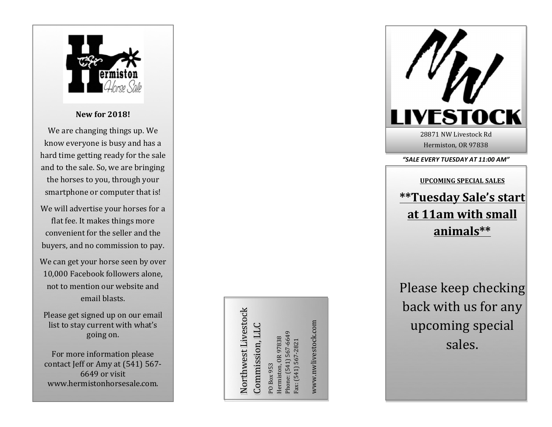

**New for 2018!**

We are changing things up. We know everyone is busy and has a hard time getting ready for the sale and to the sale. So, we are bringing the horses to you, through your smartphone or computer that is!

- We will advertise your horses for a flat fee. It makes things more convenient for the seller and the buyers, and no commission to pay.
- We can get your horse seen by over 10,000 Facebook followers alone, not to mention our website and email blasts.

Please get signed up on our email list to stay current with what's going on.

For more information please contact Jeff or Amy at (541) 567-6649 or visit www.hermistonhorsesale.com.

Northwest Livestock Northwest Livestock Commission, LLC Commission, LLC

Phone: (541) 567-6649 Phone: (541) 567-6649 Hermiston, OR 97838 Hermiston, OR 97838 ax: (541) 567-2821 Fax: (541) 567-2821 PO Box 953 PO Box 953

www.nwlivestock.com www.nwlivestock.com



Hermiston, OR 97838

#### *"SALE EVERY TUESDAY AT 11:00 AM"*

# **UPCOMING SPECIAL SALES \*\*Tuesday Sale's start** at 11am with small **animals\*\***

Please keep checking back with us for any upcoming special sales.